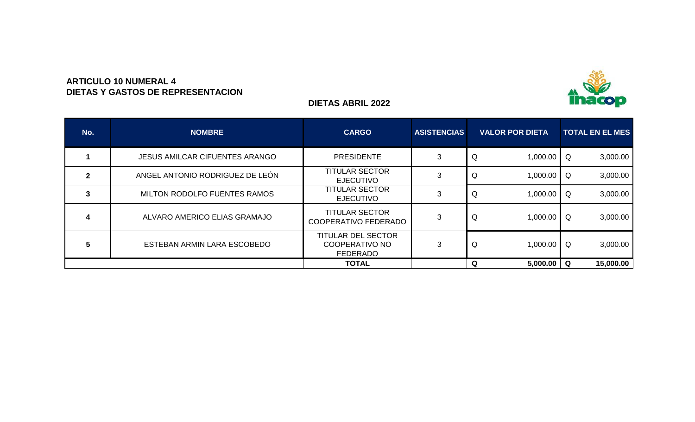

### **ARTICULO 10 NUMERAL 4 DIETAS Y GASTOS DE REPRESENTACION**

## **DIETAS ABRIL 2022**

| No. | <b>NOMBRE</b>                         | <b>CARGO</b>                                                          | <b>ASISTENCIAS</b> | <b>VALOR POR DIETA</b> | <b>TOTAL EN EL MES</b> |
|-----|---------------------------------------|-----------------------------------------------------------------------|--------------------|------------------------|------------------------|
|     | <b>JESUS AMILCAR CIFUENTES ARANGO</b> | <b>PRESIDENTE</b>                                                     |                    | Q<br>1,000.00          | 3,000.00<br>Q          |
|     | ANGEL ANTONIO RODRIGUEZ DE LEÓN       | <b>TITULAR SECTOR</b><br><b>EJECUTIVO</b>                             |                    | 1,000.00<br>Q          | 3,000.00<br>Q          |
| 3   | MILTON RODOLFO FUENTES RAMOS          | <b>TITULAR SECTOR</b><br><b>EJECUTIVO</b>                             |                    | 1,000.00<br>Q          | 3,000.00<br>Q          |
| 4   | ALVARO AMERICO ELIAS GRAMAJO          | <b>TITULAR SECTOR</b><br><b>COOPERATIVO FEDERADO</b>                  | 3                  | Q<br>1,000.00          | 3,000.00<br>Q          |
| 5   | ESTEBAN ARMIN LARA ESCOBEDO           | <b>TITULAR DEL SECTOR</b><br><b>COOPERATIVO NO</b><br><b>FEDERADO</b> |                    | Q<br>1,000.00          | 3,000.00<br>Q          |
|     |                                       | <b>TOTAL</b>                                                          |                    | Q<br>5,000.00          | 15,000.00<br>Q         |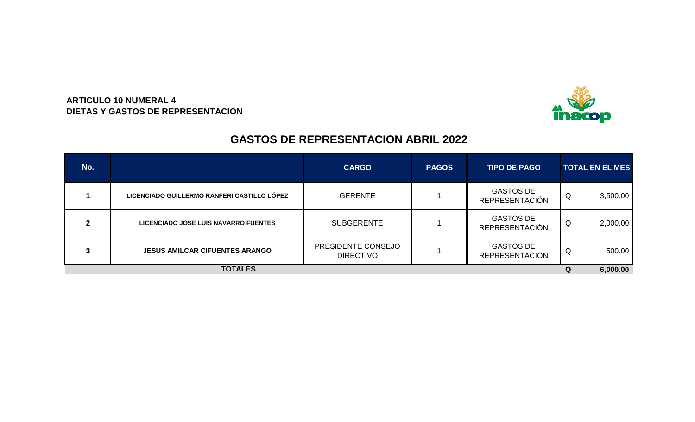

## **ARTICULO 10 NUMERAL 4 DIETAS Y GASTOS DE REPRESENTACION**

## **GASTOS DE REPRESENTACION ABRIL 2022**

| No.            |                                             | <b>CARGO</b>                           | <b>PAGOS</b> | <b>TIPO DE PAGO</b>                       |   | <b>TOTAL EN EL MES</b> |  |  |
|----------------|---------------------------------------------|----------------------------------------|--------------|-------------------------------------------|---|------------------------|--|--|
|                | LICENCIADO GUILLERMO RANFERI CASTILLO LÓPEZ | <b>GERENTE</b>                         |              | <b>GASTOS DE</b><br><b>REPRESENTACIÓN</b> | Q | 3,500.00               |  |  |
| $\mathfrak{p}$ | LICENCIADO JOSÉ LUIS NAVARRO FUENTES        | <b>SUBGERENTE</b>                      |              | <b>GASTOS DE</b><br><b>REPRESENTACIÓN</b> | Q | 2,000.00               |  |  |
| 3              | <b>JESUS AMILCAR CIFUENTES ARANGO</b>       | PRESIDENTE CONSEJO<br><b>DIRECTIVO</b> |              | <b>GASTOS DE</b><br><b>REPRESENTACIÓN</b> | Q | 500.00                 |  |  |
| <b>TOTALES</b> |                                             |                                        |              |                                           |   |                        |  |  |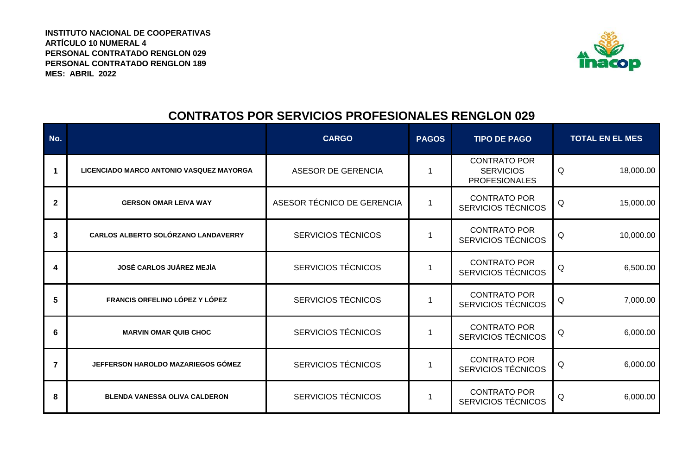**ARTÍCULO 10 NUMERAL 4 INSTITUTO NACIONAL DE COOPERATIVAS PERSONAL CONTRATADO RENGLON 029 MES: ABRIL 2022 PERSONAL CONTRATADO RENGLON 189**



# **CONTRATOS POR SERVICIOS PROFESIONALES RENGLON 029**

| No.         |                                          | <b>CARGO</b>               | <b>PAGOS</b> | <b>TIPO DE PAGO</b>                                             | <b>TOTAL EN EL MES</b> |  |  |
|-------------|------------------------------------------|----------------------------|--------------|-----------------------------------------------------------------|------------------------|--|--|
|             | LICENCIADO MARCO ANTONIO VASQUEZ MAYORGA | <b>ASESOR DE GERENCIA</b>  |              | <b>CONTRATO POR</b><br><b>SERVICIOS</b><br><b>PROFESIONALES</b> | Q<br>18,000.00         |  |  |
| $\mathbf 2$ | <b>GERSON OMAR LEIVA WAY</b>             | ASESOR TÉCNICO DE GERENCIA |              | <b>CONTRATO POR</b><br><b>SERVICIOS TÉCNICOS</b>                | 15,000.00<br>Q         |  |  |
| 3           | CARLOS ALBERTO SOLÓRZANO LANDAVERRY      | SERVICIOS TÉCNICOS         |              | <b>CONTRATO POR</b><br>SERVICIOS TÉCNICOS                       | 10,000.00<br>Q         |  |  |
| 4           | JOSÉ CARLOS JUÁREZ MEJÍA                 | <b>SERVICIOS TÉCNICOS</b>  |              | <b>CONTRATO POR</b><br>SERVICIOS TÉCNICOS                       | 6,500.00<br>Q          |  |  |
| 5           | FRANCIS ORFELINO LÓPEZ Y LÓPEZ           | SERVICIOS TÉCNICOS         |              | <b>CONTRATO POR</b><br>SERVICIOS TÉCNICOS                       | Q<br>7,000.00          |  |  |
| 6           | <b>MARVIN OMAR QUIB CHOC</b>             | <b>SERVICIOS TÉCNICOS</b>  |              | <b>CONTRATO POR</b><br><b>SERVICIOS TÉCNICOS</b>                | 6,000.00<br>Q          |  |  |
| 7           | JEFFERSON HAROLDO MAZARIEGOS GÓMEZ       | <b>SERVICIOS TÉCNICOS</b>  |              | <b>CONTRATO POR</b><br>SERVICIOS TÉCNICOS                       | Q<br>6,000.00          |  |  |
| 8           | <b>BLENDA VANESSA OLIVA CALDERON</b>     | SERVICIOS TÉCNICOS         |              | <b>CONTRATO POR</b><br>SERVICIOS TÉCNICOS                       | 6,000.00<br>Q          |  |  |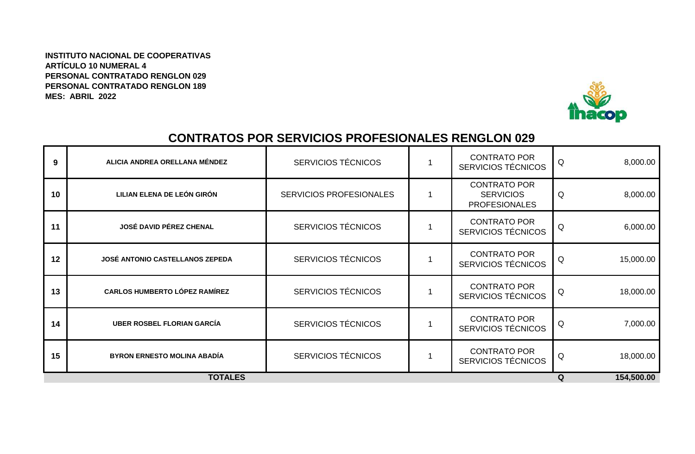**ARTÍCULO 10 NUMERAL 4 INSTITUTO NACIONAL DE COOPERATIVAS PERSONAL CONTRATADO RENGLON 029 PERSONAL CONTRATADO RENGLON 189 MES: ABRIL 2022**



# **CONTRATOS POR SERVICIOS PROFESIONALES RENGLON 029**

| 9  | ALICIA ANDREA ORELLANA MÉNDEZ        | <b>SERVICIOS TÉCNICOS</b>      | <b>CONTRATO POR</b><br><b>SERVICIOS TÉCNICOS</b>                | Q | 8,000.00   |
|----|--------------------------------------|--------------------------------|-----------------------------------------------------------------|---|------------|
| 10 | LILIAN ELENA DE LEÓN GIRÓN           | <b>SERVICIOS PROFESIONALES</b> | <b>CONTRATO POR</b><br><b>SERVICIOS</b><br><b>PROFESIONALES</b> | Q | 8,000.00   |
| 11 | <b>JOSÉ DAVID PÉREZ CHENAL</b>       | <b>SERVICIOS TÉCNICOS</b>      | <b>CONTRATO POR</b><br>SERVICIOS TÉCNICOS                       |   | 6,000.00   |
| 12 | JOSÉ ANTONIO CASTELLANOS ZEPEDA      | <b>SERVICIOS TÉCNICOS</b>      | <b>CONTRATO POR</b><br><b>SERVICIOS TÉCNICOS</b>                | Q | 15,000.00  |
| 13 | <b>CARLOS HUMBERTO LÓPEZ RAMÍREZ</b> | <b>SERVICIOS TÉCNICOS</b>      | <b>CONTRATO POR</b><br><b>SERVICIOS TÉCNICOS</b>                | Q | 18,000.00  |
| 14 | <b>UBER ROSBEL FLORIAN GARCÍA</b>    | <b>SERVICIOS TÉCNICOS</b>      | <b>CONTRATO POR</b><br><b>SERVICIOS TÉCNICOS</b>                | Q | 7,000.00   |
| 15 | <b>BYRON ERNESTO MOLINA ABADÍA</b>   | <b>SERVICIOS TÉCNICOS</b>      | <b>CONTRATO POR</b><br>SERVICIOS TÉCNICOS                       | Q | 18,000.00  |
|    | <b>TOTALES</b>                       |                                |                                                                 | Q | 154,500.00 |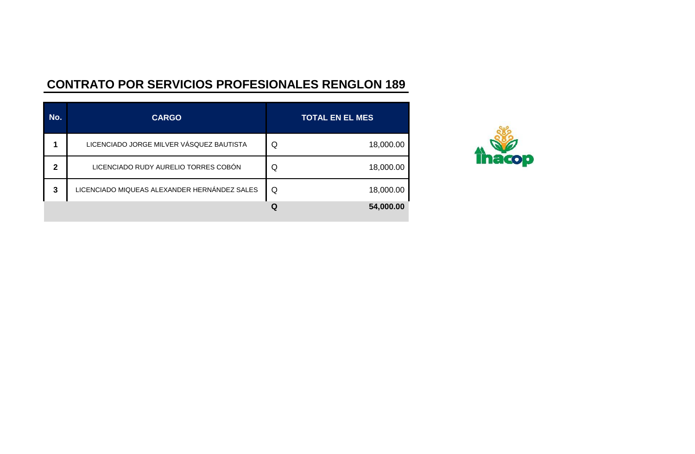# **CONTRATO POR SERVICIOS PROFESIONALES RENGLON 189**

| No.          | <b>CARGO</b>                                 | <b>TOTAL EN EL MES</b> |
|--------------|----------------------------------------------|------------------------|
|              | LICENCIADO JORGE MILVER VÁSQUEZ BAUTISTA     | 18,000.00<br>Q         |
| $\mathbf{2}$ | LICENCIADO RUDY AURELIO TORRES COBÓN         | 18,000.00<br>Q         |
| 3            | LICENCIADO MIQUEAS ALEXANDER HERNÁNDEZ SALES | 18,000.00<br>Q         |
|              |                                              | 54,000.00<br>Q         |

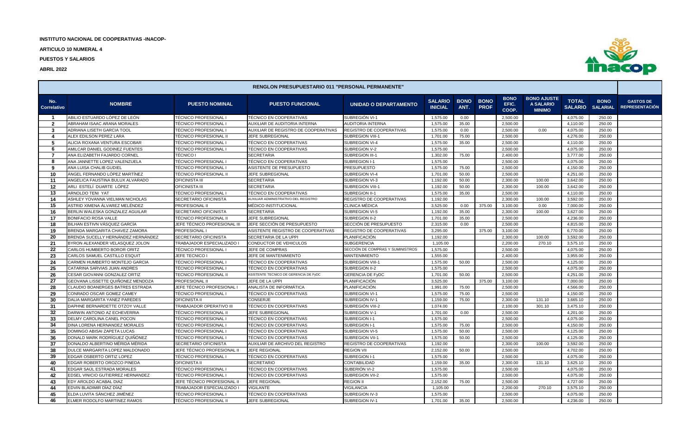**ARTICULO 10 NUMERAL 4**

**PUESTOS Y SALARIOS**



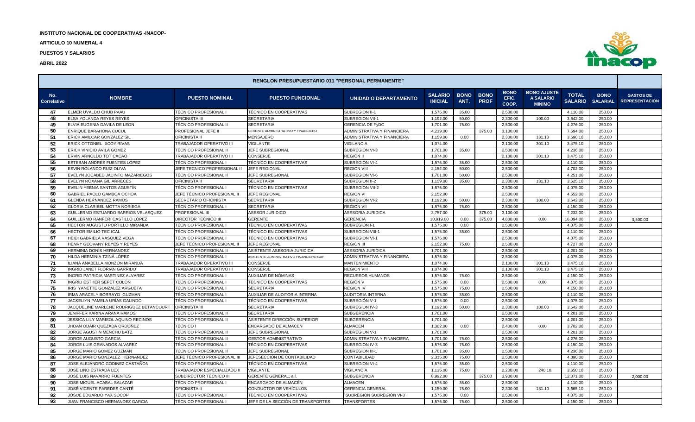**ARTICULO 10 NUMERAL 4**

**PUESTOS Y SALARIOS**



| <b>RENGLON PRESUPUESTARIO 011 "PERSONAL PERMANENTE"</b> |                                                          |                                                    |                                               |                               |                                  |                     |                            |                               |                                                  |                                |                                |                                           |
|---------------------------------------------------------|----------------------------------------------------------|----------------------------------------------------|-----------------------------------------------|-------------------------------|----------------------------------|---------------------|----------------------------|-------------------------------|--------------------------------------------------|--------------------------------|--------------------------------|-------------------------------------------|
| No.<br>Correlativo                                      | <b>NOMBRE</b>                                            | <b>PUESTO NOMINAL</b>                              | <b>PUESTO FUNCIONAL</b>                       | <b>UNIDAD O DEPARTAMENTO</b>  | <b>SALARIO</b><br><b>INICIAL</b> | <b>BONO</b><br>ANT. | <b>BONO</b><br><b>PROF</b> | <b>BONO</b><br>EFIC.<br>COOP. | <b>BONO AJUSTE</b><br>A SALARIO<br><b>MINIMO</b> | <b>TOTAL</b><br><b>SALARIO</b> | <b>BONO</b><br><b>SALARIAL</b> | <b>GASTOS DE</b><br><b>REPRESENTACIÓN</b> |
| 47                                                      | ELMER UVALDO CHUB PAAU                                   | <b>TÉCNICO PROFESIONAL</b>                         | TÉCNICO EN COOPERATIVAS                       | SUBREGION II-                 | 1,575.00                         | 35.00               |                            | 2,500.00                      |                                                  | 4,110.00                       | 250.00                         |                                           |
| 48                                                      | ELSA YOLANDA REYES REYES                                 | <b>OFICINISTA III</b>                              | <b>SECRETARIA</b>                             | SUBREGION VII-1               | 1,192.00                         | 50.00               |                            | 2,300.00                      | 100.00                                           | 3,642.00                       | 250.00                         |                                           |
| 49                                                      | ELVIA EUGENIA DAVILA DE LEON                             | TÉCNICO PROFESIONAL II                             | <b>SECRETARIA</b>                             | <b>GERENCIA DE FyDC</b>       | 1,701.00                         | 75.00               |                            | 2,500.00                      |                                                  | 4,276.00                       | 250.00                         |                                           |
| 50                                                      | <b>ENRIQUE BARAHONA CUCUL</b>                            | PROFESIONAL JEFE II                                | GERENTE ADMINISTRATIVO Y FINANCIERO           | ADMINISTRATIVA Y FINANCIERA   | 4,219.00                         |                     | 375.00                     | 3,100.00                      |                                                  | 7,694.00                       | 250.00                         |                                           |
| 51                                                      | ERICK AMILCAR GONZÁLEZ SII                               | <b>OFICINISTA II</b>                               | MENSAJERO                                     | ADMINISTRATIVA Y FINANCIERA   | 1,159.00                         | 0.00                |                            | 2,300.00                      | 131.10                                           | 3,590.10                       | 250.00                         |                                           |
| 52                                                      | ERICK OTTONIEL IXCOY RIVAS                               | TRABAJADOR OPERATIVO III                           | <b>VIGILANTE</b>                              | <b>VIGILANCIA</b>             | 1.074.00                         |                     |                            | 2,100.00                      | 301.10                                           | 3,475.10                       | 250.00                         |                                           |
| 53                                                      | ERICK VINICIO AVILA GOMEZ                                | TÉCNICO PROFESIONAL II                             | JEFE SUBREGIONAL                              | SUBREGION VI-3                | 1,701.00                         | 35.00               |                            | 2,500.00                      |                                                  | 4,236.00                       | 250.00                         |                                           |
| 54                                                      | ERVIN ARNOLDO TOT CACAO                                  | TRABAJADOR OPERATIVO III                           | CONSERJE                                      | REGIÓN II                     | 1,074.00                         |                     |                            | 2,100.00                      | 301.10                                           | 3,475.10                       | 250.00                         |                                           |
| 55                                                      | ESTEBAN ANDRES FUENTES LOPEZ                             | TÉCNICO PROFESIONAL                                | TÉCNICO EN COOPERATIVAS                       | SUBREGION VI-4                | 1,575.00                         | 35.00               |                            | 2,500.00                      |                                                  | 4,110.00                       | 250.00                         |                                           |
| 56                                                      | ESVIN ROLANDO RUIZ OLIVA                                 | JEFE TECNICO PROFEESIONAL II                       | <b>JEFE REGIONAL</b>                          | <b>REGION VII</b>             | 2,152.00                         | 50.00               |                            | 2,500.00                      |                                                  | 4,702.00                       | 250.00                         |                                           |
| 57                                                      | EVELYN JOCABED JACINTO MAZARIEGOS                        | <b>TÉCNICO PROFESIONAL</b>                         | <b>JEFE SUBREGIONAL</b>                       | SUBREGION VI-6                | 1,701.00                         | 50.00               |                            | 2,500.00                      |                                                  | 4,251.00                       | 250.00                         |                                           |
| 58                                                      | EVELYN ROXANA GIL ARRECES                                | <b>OFICINISTA II</b>                               | SECRETARIA                                    | SUBREGION II-2                | 1,159.00                         | 35.00               |                            | 2,300.00                      | 131.10                                           | 3,625.10                       | 250.00                         |                                           |
| 59                                                      | EVELIN YEENIA SANTOS AGUSTÍN                             | TÉCNICO PROFESIONAL I                              | TÉCNICO EN COOPERATIVAS                       | SUBREGION VII-2               | 1,575.00                         |                     |                            | 2,500.00                      |                                                  | 4,075.00                       | 250.00                         |                                           |
| 60                                                      | GABRIEL PAOLO GAMBOA OCHOA                               | JEFE TÉCNICO PROFESIONAL II                        | <b>JEFE REGIONAL</b>                          | <b>REGION VI</b>              | 2,152.00                         |                     |                            | 2,500.00                      |                                                  | 4,652.00                       | 250.00                         |                                           |
| 61                                                      | <b>GLENDA HERNANDEZ RAMOS</b>                            | SECRETARIO OFICINISTA                              | <b>SECRETARIA</b>                             | SUBREGION VI-2                | 1,192.00                         | 50.00               |                            | 2,300.00                      | 100.00                                           | 3,642.00                       | 250.00                         |                                           |
| 62                                                      | GLORIA CLARIBEL MOTTA NORIEGA                            | TÉCNICO PROFESIONAL I                              | <b>SECRETARIA</b>                             | <b>REGION VII</b>             | 1,575.00                         | 75.00               |                            | 2,500.00                      |                                                  | 4,150.00                       | 250.00                         |                                           |
| 63                                                      | GUILLERMO ESTUARDO BARRIOS VELASQUEZ                     | PROFESIONAL II                                     | <b>ASESOR JURIDICO</b>                        | ASESORIA JURIDICA             | 3,757.00                         |                     | 375.00                     | 3,100.00                      |                                                  | 7,232.00                       | 250.00                         |                                           |
| 64                                                      | GUILLERMO RANFERI CASTILLO LÓPEZ                         | DIRECTOR TÉCNICO III                               | <b>GERENTE</b>                                | <b>GERENCIA</b>               | 10,919.00                        | 0.00                | 375.00                     | 4,800.00                      | 0.00                                             | 16,094.00                      | 250.00                         | 3,500.00                                  |
| 65                                                      | HÉCTOR AUGUSTO PORTILLO MIRANDA                          | <b>TÉCNICO PROFESIONAL</b>                         | TÉCNICO EN COOPERATIVAS                       | SUBREGIÓN I-1                 | 1,575.00                         | 0.00                |                            | 2,500.00                      |                                                  | 4,075.00                       | 250.00                         |                                           |
| 66                                                      | <b>HECTOR EMILIO TEC ICAL</b>                            | <b>TÉCNICO PROFESIONAL</b>                         | TÉCNICO EN COOPERATIVAS                       | SUBREGION VIII-1              | 1,575.00                         | 35.00               |                            | 2,500.00                      |                                                  | 4,110.00                       | 250.00                         |                                           |
| 67                                                      | HEIDI GABRIELA VÁSQUEZ VEGA                              | TÉCNICO PROFESIONAL                                | TÉCNICO EN COOPERATIVAS                       | SUBREGION VI-1                | 1,575.00                         |                     |                            | 2,500.00                      |                                                  | 4,075.00                       | 250.00                         |                                           |
| 68                                                      | HENRY GEOVANY REYES Y REYES                              | JEFE TÉCNICO PROFESIONAL II                        | <b>JEFE REGIONAL</b>                          | <b>REGION III</b>             | 2,152.00                         | 75.00               |                            | 2,500.00                      |                                                  | 4,727.00                       | 250.00                         |                                           |
| 69                                                      | HERMINIA DONIS HERNANDEZ                                 | <b>TÉCNICO PROFESIONAL</b>                         | ASISTENTE ASESORIA JURIDICA                   | ASESORIA JURIDICA             | 1,701.00                         |                     |                            | 2,500.00                      |                                                  | 4,201.00                       | 250.00                         |                                           |
| -70                                                     | HILDA HERMINIA TZINÁ LÓPEZ                               | TECNICO PROFESIONAL                                | ASISTENTE ADMINISTRATIVO FINANCIERO GAF       | ADMINISTRATIVA Y FINANCIERA   | 1,575.00                         |                     |                            | 2,500.00                      |                                                  | 4,075.00                       | 250.00                         |                                           |
| 71                                                      | ILIANA ANABELLA MONZON MIRANDA                           | TRABAJADOR OPERATIVO III                           | <b>CONSERJE</b>                               | <b>MANTENIMIENTO</b>          | 1,074.00                         |                     |                            | 2,100.00                      | 301.10                                           | 3,475.10                       | 250.00                         |                                           |
| 72                                                      | INGRID JANET FLORIAN GARRIDO                             | TRABAJADOR OPERATIVO III                           | CONSERJE                                      | <b>REGION VIII</b>            | 1,074.00                         |                     |                            | 2,100.00                      | 301.10                                           | 3,475.10                       | 250.00                         |                                           |
| 73                                                      | INGRID PATRICIA MARTINEZ ALVAREZ                         | <b>TÉCNICO PROFESIONAL</b>                         | AUXILIAR DE NÓMINAS                           | <b>RECURSOS HUMANOS</b>       | 1,575.00                         | 75.00               |                            | 2,500.00                      |                                                  | 4,150.00                       | 250.00                         |                                           |
| 74                                                      | INGRID ESTHER SEPET COLON                                | TÉCNICO PROFESIONAL                                | TÉCNICO EN COOPERATIVAS                       | REGIÓN V                      | 1,575.00                         | 0.00                |                            | 2,500.00                      | 0.00                                             | 4,075.00                       | 250.00                         |                                           |
| 75                                                      | IRIS YANETTE GONZALEZ ARGUETA                            | TÉCNICO PROFESIONAL                                | <b>SECRETARIA</b>                             | <b>REGION IV</b>              | 1,575.00                         | 75.00               |                            | 2,500.00                      |                                                  | 4,150.00                       | 250.00                         |                                           |
| 76                                                      | IRMA ARACELY BORRAYO GUZMAN                              | <b>TÉCNICO PROFESIONAL</b>                         | AUXILIAR DE AUDITORIA INTERNA                 | <b>AUDITORIA INTERNA</b>      | 1,575.00                         | 35.00               |                            | 2,500.00                      |                                                  | 4,110.00                       | 250.00                         |                                           |
| 77                                                      | JACKELIYN PAMELA URÍAS GALINDO                           | TÉCNICO PROFESIONAL                                | TÉCNICO EN COOPERATIVAS                       | SUBREGIÓN V-1                 | 1,575.00                         | 0.00                |                            | 2,500.00                      |                                                  | 4,075.00                       | 250.00                         |                                           |
| 78                                                      | JACQUELINE MARLENE RODRIGUEZ BETANCOURT                  | <b>OFICINISTA III</b>                              | <b>SECRETARIA</b>                             | SUBREGION IV-3                | 1,192.00                         | 50.00               |                            | 2,300.00                      | 100.00                                           | 3,642.00                       | 250.00                         |                                           |
| 79                                                      | JENIFFER KARINA ARANA RAMOS                              | TÉCNICO PROFESIONAL II                             | <b>SECRETARIA</b>                             | <b>SUBGERENCIA</b>            | 1,701.00                         |                     |                            | 2,500.00                      |                                                  | 4,201.00                       | 250.00                         |                                           |
| 80                                                      | JESSICA LILY MARISOL AQUINO RECINOS                      | TÉCNICO PROFESIONAL II                             | ASISTENTE DIRECCIÓN SUPERIOR                  | <b>SUBGERENCIA</b>            | 1,701.00                         |                     |                            | 2,500.00                      |                                                  | 4.201.00                       | 250.00                         |                                           |
| 81                                                      | JHOAN ODAIR QUEZADA ORDOÑEZ                              | <b>TÉCNICO I</b>                                   | ENCARGADO DE ALMACEN                          | <b>ALMACEN</b>                | 1,302.00                         | 0.00                |                            | 2,400.00                      | 0.00                                             | 3,702.00                       | 250.00                         |                                           |
| 82                                                      | JORGE AGUSTIN MENCHU BATZ                                | TÉCNICO PROFESIONAL II                             | <b>JEFE SUBREGIONAL</b>                       | SUBREGION V-1                 | 1,701.00                         |                     |                            | 2,500.00                      |                                                  | 4,201.00                       | 250.00                         |                                           |
| 83                                                      | <b>JORGE AUGUSTO GARCIA</b>                              | TÉCNICO PROFESIONAL II                             | <b>GESTOR ADMINISTRATIVO</b>                  | ADMINISTRATIVA Y FINANCIERA   | 1,701.00                         | 75.00               |                            | 2,500.00                      |                                                  | 4,276.00                       | 250.00                         |                                           |
| 84                                                      | JORGE LUIS GRANADOS ALVAREZ                              | TÉCNICO PROFESIONAL                                | TÉCNICO EN COOPERATIVAS                       | SUBREGION IV-3                | 1,575.00                         | 75.00               |                            | 2,500.00                      |                                                  | 4,150.00                       | 250.00                         |                                           |
| 85                                                      | JORGE MARIO GOMEZ GUZMAN                                 | TÉCNICO PROFESIONAL II                             | JEFE SUBREGIONAL                              | SUBREGION III-1               | 1,701.00                         | 35.00               |                            | 2,500.00                      |                                                  | 4,236.00                       | 250.00                         |                                           |
| 86<br>87                                                | JORGE MARIO GONZALEZ HERNANDEZ                           | JEFE TÉCNICO PROFESIONAL III                       | JEFESECCIÓN DE CONTABILIDAD                   | CONTABILIDAD                  | 2,315.00                         | 75.00               |                            | 2,500.00                      |                                                  | 4,890.00                       | 250.00                         |                                           |
| 88                                                      | JOSE ALEJANDRO GODINEZ CASTAÑON<br>JOSE LINO ESTRADA LEX | TÉCNICO PROFESIONAL<br>TRABAJADOR ESPECIALIZADO II | TÉCNICO EN COOPERATIVAS<br><b>VIGILANTE</b>   | SUBREGION VI-4<br>VIGILANCIA  | 1,575.00<br>1,135.00             | 35.00<br>75.00      |                            | 2,500.00<br>2,200.00          | 240.10                                           | 4.110.00<br>3,650.10           | 250.00<br>250.00               |                                           |
| 89                                                      |                                                          |                                                    |                                               |                               |                                  |                     |                            |                               |                                                  |                                |                                |                                           |
| 90                                                      | JOSÉ LUIS NAVARRO FUENTES<br>JOSE MIGUEL ACABAL SALAZAR  | SUBDIRECTOR TECNICO III<br>TÉCNICO PROFESIONAL I   | GERENTE GENERAL, a.i.<br>ENCARGADO DE ALMACÉN | SUBGERENCIA<br><b>ALMACEN</b> | 8,992.00<br>1,575.00             | 35.00               | 375.00                     | 3,900.00<br>2,500.00          |                                                  | 12,371.00<br>4,110.00          | 250.00<br>250.00               | 2,000.00                                  |
| 91                                                      | JOSÉ VICENTE PAREDES CANTÉ                               | <b>OFICINISTA II</b>                               | CONDUCTOR DE VEHÍCULOS                        | GERENCIA GENERAL              | 1,159.00                         | 75.00               |                            | 2,300.00                      | 131.10                                           | 3,665.10                       | 250.00                         |                                           |
| 92                                                      | JOSUÉ EDUARDO YAX SOCOP                                  | TÉCNICO PROFESIONAL                                | TÉCNICO EN COOPERATIVAS                       | SUBREGIÓN SUBREGIÓN VI-3      | 1,575.00                         | 0.00                |                            | 2,500.00                      |                                                  | 4,075.00                       | 250.00                         |                                           |
| 93                                                      | JUAN FRANCISCO HERNANDEZ GARCIA                          | <b>TÉCNICO PROFESIONAL</b>                         | JEFE DE LA SECCIÓN DE TRANSPORTES             | <b>TRANSPORTES</b>            | 1,575.00                         | 75.00               |                            | 2,500.00                      |                                                  | 4,150.00                       | 250.00                         |                                           |
|                                                         |                                                          |                                                    |                                               |                               |                                  |                     |                            |                               |                                                  |                                |                                |                                           |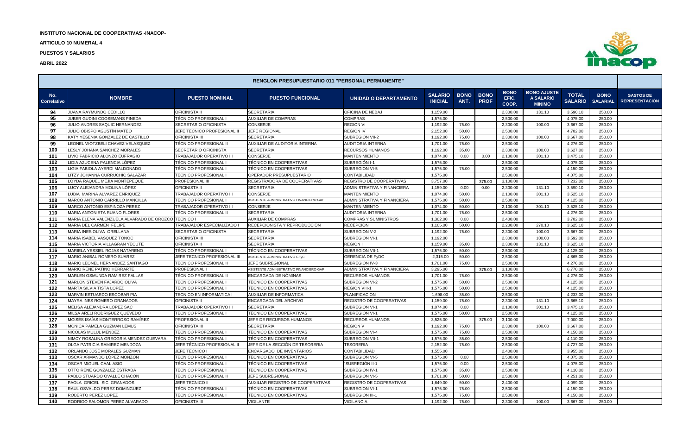**ARTICULO 10 NUMERAL 4**

**PUESTOS Y SALARIOS**



| <b>RENGLON PRESUPUESTARIO 011 "PERSONAL PERMANENTE"</b> |                                                          |                                           |                                                              |                                            |                                  |                     |                            |                               |                                                  |                                |                                |                                           |
|---------------------------------------------------------|----------------------------------------------------------|-------------------------------------------|--------------------------------------------------------------|--------------------------------------------|----------------------------------|---------------------|----------------------------|-------------------------------|--------------------------------------------------|--------------------------------|--------------------------------|-------------------------------------------|
| No.<br>Correlativo                                      | <b>NOMBRE</b>                                            | <b>PUESTO NOMINAL</b>                     | <b>PUESTO FUNCIONAL</b>                                      | <b>UNIDAD O DEPARTAMENTO</b>               | <b>SALARIO</b><br><b>INICIAL</b> | <b>BONO</b><br>ANT. | <b>BONO</b><br><b>PROF</b> | <b>BONO</b><br>EFIC.<br>COOP. | <b>BONO AJUSTE</b><br>A SALARIO<br><b>MINIMO</b> | <b>TOTAL</b><br><b>SALARIO</b> | <b>BONO</b><br><b>SALARIAL</b> | <b>GASTOS DE</b><br><b>REPRESENTACIÓN</b> |
| 94                                                      | JUANA RAYMUNDO CEDILLO                                   | <b>OFICINISTA II</b>                      | <b>SECRETARIA</b>                                            | OFICINA DE NEBAJ                           | 1,159.00                         |                     |                            | 2,300.00                      | 131.10                                           | 3,590.10                       | 250.00                         |                                           |
| 95                                                      | JUBER GUDINI COOSEMANS PINEDA                            | TÉCNICO PROFESIONAL                       | <b>AUXILIAR DE COMPRAS</b>                                   | COMPRAS                                    | 1,575.00                         |                     |                            | 2,500.00                      |                                                  | 4,075.00                       | 250.00                         |                                           |
| 96                                                      | JULIO ANDRES SAQUIC HERNANDEZ                            | SECRETARIO OFICINISTA                     | <b>CONSERJE</b>                                              | <b>REGION VI</b>                           | 1,192.00                         | 75.00               |                            | 2,300.00                      | 100.00                                           | 3,667.00                       | 250.00                         |                                           |
| 97                                                      | JULIO OBISPO AGUSTÍN MATEO                               | JEFE TÉCNICO PROFESIONAL II               | <b>JEFE REGIONAL</b>                                         | <b>REGION IV</b>                           | 2,152.00                         | 50.00               |                            | 2,500.00                      |                                                  | 4,702.00                       | 250.00                         |                                           |
| 98                                                      | KATY YESENIA GONZALEZ DE CASTILLO                        | <b>OFICINISTA III</b>                     | <b>SECRETARIA</b>                                            | SUBREGION VII-2                            | 1,192.00                         | 75.00               |                            | 2,300.00                      | 100.00                                           | 3,667.00                       | 250.00                         |                                           |
| 99                                                      | LEONEL WOTZBELI CHAVEZ VELASQUEZ                         | TÉCNICO PROFESIONAL II                    | AUXILIAR DE AUDITORIA INTERNA                                | AUDITORIA INTERNA                          | 1,701.00                         | 75.00               |                            | 2,500.00                      |                                                  | 4,276.00                       | 250.00                         |                                           |
| 100                                                     | LESLY JOHANA SANCHEZ MORALES                             | SECRETARIO OFICINISTA                     | SECRETARIA                                                   | RECURSOS HUMANOS                           | 1,192.00                         | 35.00               |                            | 2,300.00                      | 100.00                                           | 3,627.00                       | 250.00                         |                                           |
| 101                                                     | LIVIO FABRICIO ALONZO EUFRAGIO                           | TRABAJADOR OPERATIVO III                  | CONSERJE                                                     | <b>MANTENIMIENTO</b>                       | 1,074.00                         | 0.00                | 0.00                       | 2,100.00                      | 301.10                                           | 3,475.10                       | 250.00                         |                                           |
| 102                                                     | LIDIA AZUCENA PALENCIA LÓPEZ                             | TÉCNICO PROFESIONAL                       | TÉCNICO EN COOPERATIVAS                                      | SUBREGIÓN I-1                              | 1,575.00                         |                     |                            | 2,500.00                      |                                                  | 4,075.00                       | 250.00                         |                                           |
| 103                                                     | LIGIA FABIOLA AYERDI MALDONADO                           | TÉCNICO PROFESIONAL                       | TÉCNICO EN COOPERATIVAS                                      | <b>SUBREGION VI-5</b>                      | 1,575.00                         | 75.00               |                            | 2,500.00                      |                                                  | 4,150.00                       | 250.00                         |                                           |
| 104                                                     | LITZY JOHANNA CURRUCHIC SALAZAR                          | TÉCNICO PROFESIONAL                       | OPERADOR PRESUPUESTARIO                                      | CONTABILIDAD                               | 1,575.00                         |                     |                            | 2,500.00                      |                                                  | 4,075.00                       | 250.00                         |                                           |
| 105                                                     | LOYDA RAQUEL MEJIA MONTEPEQUE                            | <b>PROFESIONAL III</b>                    | REGISTRADORA DE COOPERATIVAS                                 | REGISTRO DE COOPERATIVAS                   | 3,757.00                         |                     | 375.00                     | 3,100.00                      |                                                  | 7.232.00                       | 250.00                         |                                           |
| 106                                                     | LUCY ALEJANDRA MOLINA LÓPEZ                              | <b>OFICINISTA II</b>                      | <b>SECRETARIA</b>                                            | ADMINISTRATIVA Y FINANCIERA                | 1,159.00                         | 0.00                | 0.00                       | 2,300.00                      | 131.10                                           | 3,590.10                       | 250.00                         |                                           |
| 107                                                     | LUBIA MARINA ALVAREZ ENRIQUEZ                            | TRABAJADOR OPERATIVO III                  | CONSERJE                                                     | <b>MANTENIMIENTO</b>                       | 1,074.00                         | 50.00               |                            | 2,100.00                      | 301.10                                           | 3,525.10                       | 250.00                         |                                           |
| 108                                                     | MARCO ANTONIO CARRILLO MANCILLA                          | FÉCNICO PROFESIONAL I                     | ASISTENTE ADMINISTRATIVO FINANCIERO GAF                      | ADMINISTRATIVA Y FINANCIERA                | 1,575.00                         | 50.00               |                            | 2,500.00                      |                                                  | 4,125.00                       | 250.00                         |                                           |
| 109                                                     | MARCO ANTONIO ESPINOZA PEREZ                             | <b>TRABAJADOR OPERATIVO III</b>           | <b>CONSERJE</b>                                              | <b>MANTENIMIENTO</b>                       | 1.074.00                         | 50.00               |                            | 2.100.00                      | 301.10                                           | 3,525.10                       | 250.00                         |                                           |
| 110                                                     | MARIA ANTONIETA RUANO FLORES                             | TÉCNICO PROFESIONAL II                    | <b>SECRETARIA</b>                                            | AUDITORIA INTERNA                          | 1,701.00                         | 75.00               |                            | 2,500.00                      |                                                  | 4,276.00                       | 250.00                         |                                           |
| 111                                                     | MARIA ELENA VALENZUELA ALVARADO DE OROZCO                | <b>TÉCNICO</b>                            | <b>AUXILIAR DE COMPRAS</b>                                   | COMPRAS Y SUMINISTROS                      | 1,302.00                         | 0.00                |                            | 2,400.00                      |                                                  | 3,702.00                       | 250.00                         |                                           |
| 112                                                     | MARIA DEL CARMEN FELIPE                                  | <b>FRABAJADOR ESPECIALIZADO I</b>         | RECEPCIONISTA Y REPRODUCCIÓN                                 | RECEPCIÓN                                  | 1,105.00                         | 50.00               |                            | 2,200.00                      | 270.10                                           | 3,625.10                       | 250.00                         |                                           |
| 113                                                     | MARIA INES OLIVA ORELLANA                                | SECRETARIO OFICINISTA                     | <b>SECRETARIA</b>                                            | SUBREGION V-2                              | 1,192.00                         | 75.00               |                            | 2,300.00                      | 100.00                                           | 3,667.00                       | 250.00                         |                                           |
| 114                                                     | MARIA ISABEL VASQUEZ TONOC                               | OFICINISTA III                            | <b>SECRETARIA</b>                                            | SUBREGIÓN VI-1                             | 1,192.00                         |                     |                            | 2,300.00                      | 100.00                                           | 3,592.00                       | 250.00                         |                                           |
| 115                                                     | MARIA VICTORIA VILLAGRAN YECUTE                          | <b>OFICINISTA II</b>                      | <b>SECRETARIA</b>                                            | <b>REGION I</b>                            | 1,159.00                         | 35.00               |                            | 2,300.00                      | 131.10                                           | 3,625.10                       | 250.00                         |                                           |
| 116                                                     | MARIELA YESSIEL ROJAS NATARENO                           | TÉCNICO PROFESIONAL I                     | TÉCNICO EN COOPERATIVAS                                      | SUBREGION VII-1                            | 1,575.00                         | 50.00               |                            | 2,500.00                      |                                                  | 4,125.00                       | 250.00                         |                                           |
| 117                                                     | MARIO ANIBAL ROMERO SUAREZ                               | JEFE TECNICO PROFESIONAL III              | ASISTENTE ADMINISTRATIVO GFyC                                | <b>GERENCIA DE FyDC</b>                    | 2,315.00                         | 50.00               |                            | 2,500.00                      |                                                  | 4,865.00                       | 250.00                         |                                           |
| 118                                                     | MARIO LEONEL HERNANDEZ SANTIAGO                          | TÉCNICO PROFESIONAL II                    | <b>JEFE SUBREGIONAL</b>                                      | SUBREGION IV-3                             | 1,701.00                         | 75.00               |                            | 2,500.00                      |                                                  | 4,276.00                       | 250.00                         |                                           |
| 119                                                     | <b>MARIO RENE PATIÑO HERRARTE</b>                        | PROFESIONAL I                             | ASISTENTE ADMINISTRATIVO FINANCIERO GAF                      | ADMINISTRATIVA Y FINANCIERA                | 3,295.00                         |                     | 375.00                     | 3,100.00                      |                                                  | 6,770.00                       | 250.00                         |                                           |
| 120                                                     | MARLEN OSMUNDA RAMIREZ FALLAS                            | TÉCNICO PROFESIONAL II                    | ENCARGADA DE NÓMINAS                                         | RECURSOS HUMANOS                           | 1,701.00                         | 75.00               |                            | 2,500.00                      |                                                  | 4,276.00                       | 250.00                         |                                           |
| 121                                                     | MARLON STEVEN FAJARDO OLIVA                              | ÉCNICO PROFESIONAL I                      | TÉCNICO EN COOPERATIVAS                                      | SUBREGION VI-2                             | 1,575.00                         | 50.00               |                            | 2,500.00                      |                                                  | 4,125.00                       | 250.00                         |                                           |
| 122                                                     | MARTA SILVIA TISTA LOPEZ                                 | <b>TÉCNICO PROFESIONAL I</b>              | TÉCNICO EN COOPERATIVAS                                      | <b>REGION VIII-1</b>                       | 1,575.00                         | 50.00               |                            | 2,500.00                      |                                                  | 4,125.00                       | 250.00                         |                                           |
| 123                                                     | MARVIN ESTUARDO ESCOBAR PIA                              | <b>TECNICO EN INFORMATICA I</b>           | AUXILIAR DE INFORMATICA                                      | <b>PLANIFICACION</b>                       | 1,698.00                         | 35.00               |                            | 2,500.00                      |                                                  | 4,233.00                       | 250.00                         |                                           |
| 124                                                     | MAYRA INES ROMERO GRANADOS                               | OFICINISTA II                             | ENCARGADA DEL ARCHIVO                                        | REGISTRO DE COOPERATIVAS                   | 1,159.00                         | 75.00               |                            | 2,300.00                      | 131.10                                           | 3,665.10                       | 250.00                         |                                           |
| 125                                                     | MELISA ALEJANDRA LÓPEZ SAC                               | TRABAJADOR OPERATIVO III                  | <b>SECRETARIA</b>                                            | SUBREGIÓN VI-1                             | 1,074.00                         | 0.00                |                            | 2,100.00                      | 301.10                                           | 3,475.10                       | 250.00                         |                                           |
| 126                                                     | MILSA ARELI RODRIGUEZ QUEVEDO                            | TÉCNICO PROFESIONAL I                     | TÉCNICO EN COOPERATIVAS                                      | SUBREGION VI-1                             | 1,575.00                         | 50.00               |                            | 2,500.00                      |                                                  | 4,125.00                       | 250.00                         |                                           |
| 127                                                     | MOISÉS ISAÍAS MONTERROSO RAMÍREZ                         | PROFESIONAL II                            | JEFE DE RECURSOS HUMANOS                                     | RECURSOS HUMANOS                           | 3,525.00                         |                     | 375.00                     | 3,100.00                      |                                                  | 7,000.00                       | 250.00                         |                                           |
| 128                                                     | MONICA PAMELA GUZMAN LEMUS                               | <b>OFICINISTA III</b>                     | <b>SECRETARIA</b>                                            | <b>REGION V</b>                            | 1,192.00                         | 75.00               |                            | 2,300.00                      | 100.00                                           | 3,667.00                       | 250.00                         |                                           |
| 129                                                     | NICOLAS MULUL MENDEZ                                     | TÉCNICO PROFESIONAL I                     | TÉCNICO EN COOPERATIVAS                                      | SUBREGION VI-4                             | 1,575.00                         | 75.00               |                            | 2,500.00                      |                                                  | 4,150.00                       | 250.00                         |                                           |
| 130                                                     | NIMCY ROSALINA GREOGRIA MENDEZ GUEVARA                   | TÉCNICO PROFESIONAL I                     | TÉCNICO EN COOPERATIVAS                                      | SUBREGION VII-1                            | 1,575.00                         | 35.00               |                            | 2,500.00                      |                                                  | 4,110.00                       | 250.00                         |                                           |
| 131                                                     | OLGA PATRICIA RAMIREZ MENDOZA                            | JEFE TÉCNICO PROFESIONAL II               | JEFE DE LA SECCIÓN DE TESORERIA                              | <b>TESORERIA</b>                           | 2,152.00                         | 75.00               |                            | 2,500.00                      |                                                  | 4,727.00                       | 250.00                         |                                           |
| 132                                                     | ORLANDO JOSÉ MORALES GUZMÁN                              | JEFE TÉCNICO I                            | ENCARGADO DE INVENTARIOS                                     | CONTABILIDAD                               | 1,555.00                         |                     |                            | 2,400.00                      |                                                  | 3,955.00                       | 250.00                         |                                           |
| 133                                                     | OSCAR ARMANDO LÓPEZ MONZÓN                               | TÉCNICO PROFESIONAL I                     | TÉCNICO EN COOPERATIVAS                                      | SUBREGIÓN VI-5                             | 1,575.00                         | 0.00                |                            | 2,500.00                      |                                                  | 4,075.00                       | 250.00                         |                                           |
| 134                                                     | OSCAR MIGUEL CAAL ASIG                                   | TÉCNICO PROFESIONAL                       | TÉCNICO EN COOPERATIVAS                                      | SUBREGIÓN II-1                             | 1,575.00                         | 0.00                |                            | 2,500.00                      |                                                  | 4,075.00                       | 250.00                         |                                           |
| 135                                                     | OTTO RENE GONZALEZ ESTRADA                               | <b>TÉCNICO PROFESIONAL</b>                | TÉCNICO EN COOPERATIVAS                                      | SUBREGION IV-1                             | 1,575.00                         | 35.00               |                            | 2,500.00                      |                                                  | 4,110.00                       | 250.00                         |                                           |
| 136<br>137                                              | PABLO STUARDO OVALLE CHACÓN<br>PAOLA GRICEL SIC GRANADOS | TÉCNICO PROFESIONAL II<br>JEFE TECNICO II | <b>JEFE SUBREGIONAL</b><br>AUXILIAR REGISTRO DE COOPERATIVAS | SUBREGION VI-5                             | 1,701.00<br>1,649.00             | 50.00<br>50.00      |                            | 2,500.00<br>2,400.00          |                                                  | 4,251.00<br>4,099.00           | 250.00<br>250.00               |                                           |
| 138                                                     | RAUL OSVALDO PEREZ DOMINGUEZ                             | TÉCNICO PROFESIONAL I                     | TÉCNICO EN COOPERATIVAS                                      | REGISTRO DE COOPERATIVAS<br>SUBREGION VI-1 | 1,575.00                         | 75.00               |                            | 2,500.00                      |                                                  | 4,150.00                       | 250.00                         |                                           |
| 139                                                     | ROBERTO PEREZ LOPEZ                                      |                                           | TÉCNICO EN COOPERATIVAS                                      |                                            |                                  | 75.00               |                            | 2.500.00                      |                                                  | 4.150.00                       | 250.00                         |                                           |
| 140                                                     | RODRIGO SALOMON PEREZ ALVARADO                           | TÉCNICO PROFESIONAL I<br>OFICINISTA III   | <b>VIGILANTE</b>                                             | SUBREGION III-1<br>VIGILANCIA              | 1,575.00<br>1,192.00             | 75.00               |                            | 2,300.00                      | 100.00                                           | 3,667.00                       | 250.00                         |                                           |
|                                                         |                                                          |                                           |                                                              |                                            |                                  |                     |                            |                               |                                                  |                                |                                |                                           |